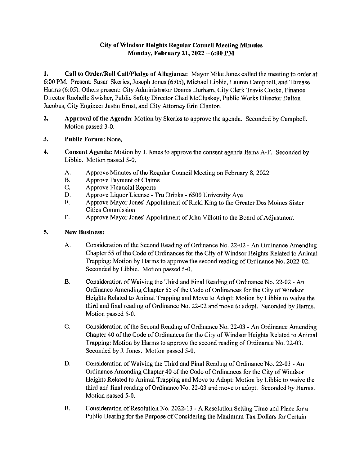## **City of Windsor Heights Regnlar Conncil Meeting Minutes Monday, Febrnary 21, 2022 - 6:00 PM**

**1. Call to Order/Roll Call/Pledge of Allegiance:** Mayor Mike Jones called the meeting to order at 6:00 PM. Present: Susan Skeries, Joseph Jones (6:05), Michael Libbie, Lauren Campbell, and Threase Harms (6:05). Others present: City Administrator Dennis Durham, City Clerk Travis Cooke, Finance Director Rachelle Swisher, Public Safety Director Chad McCluskey, Public Works Director Dalton Jacobus, City Engineer Justin Ernst, and City Attorney Erin Clanton.

- **2, Approval of the Agenda:** Motion by Skeries to approve the agenda. Seconded by Campbell. Motion passed 3-0.
- **3.** Public Forum: None.
- **4, Consent Agenda:** Motion by J. Jones to approve the consent agenda Items A-F. Seconded by Libbie. Motion passed 5-0.
	- A. Approve Minutes of the Regular Council Meeting on February 8, 2022
	- B. Approve Payment of Claims
	- C. Approve Financial Reports<br>D. Approve Liquor License 1
	- Approve Liquor License Tru Drinks 6500 University Ave
	- E. Approve Mayor Jones' Appointment of Ricki King to the Greater Des Moines Sister Cities Commission
	- F. Approve Mayor Jones' Appointment of John Villotti to the Board of Adjustment

## **5. New Business:**

- A. Consideration of the Second Reading of Ordinance No. 22-02 An Ordinance Amending Chapter 55 of the Code of Ordinances for the City of Windsor Heights Related to Animal Trapping: Motion by Harms to approve the second reading of Ordinance No. 2022-02. Seconded by Libbie. Motion passed 5-0.
- B. Consideration of Waiving the Third and Final Reading of Ordinance No. 22-02 An Ordinance Amending Chapter 55 of the Code of Ordinances for the City of Windsor Heights Related to Animal Trapping and Move to Adopt: Motion by Libbie to waive the third and final reading of Ordinance No. 22-02 and move to adopt. Seconded by Harms. Motion passed 5-0.
- C. Consideration of the Second Reading of Ordinance No. 22-03 -An Ordinance Amending Chapter 40 of the Code of Ordinances for the City of Windsor Heights Related to Animal Trapping: Motion by Harms to approve the second reading of Ordinance No. 22-03. Seconded by J. Jones. Motion passed 5-0.
- D. Consideration of Waiving the Third and Final Reading of Ordinance No. 22-03 -An Ordinance Amending Chapter 40 of the Code of Ordinances for the City of Windsor Heights Related to Animal Trapping and Move to Adopt: Motion by Libbie to waive the third and final reading of Ordinance No. 22-03 and move to adopt. Seconded by Harms. Motion passed 5-0.
- E. Consideration of Resolution No. 2022-13 A Resolution Setting Time and Place for a Public Hearing for the Purpose of Considering the Maximum Tax Dollars for Certain